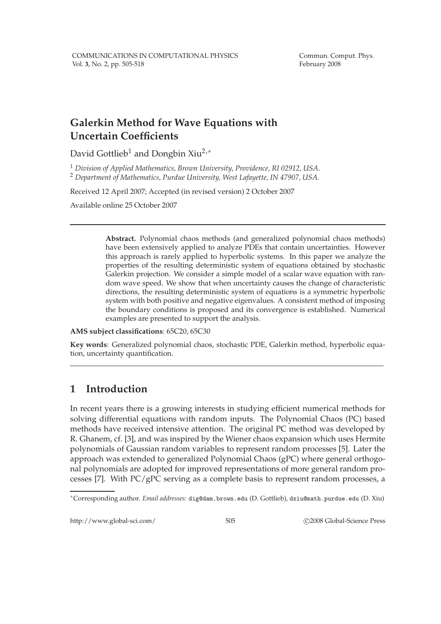Commun. Comput. Phys. February 2008

# **Galerkin Method for Wave Equations with Uncertain Coefficients**

David Gottlieb<sup>1</sup> and Dongbin Xiu<sup>2,∗</sup>

<sup>1</sup> *Division of Applied Mathematics, Brown University, Providence, RI 02912, USA.* <sup>2</sup> *Department of Mathematics, Purdue University, West Lafayette, IN 47907, USA.*

Received 12 April 2007; Accepted (in revised version) 2 October 2007

Available online 25 October 2007

**Abstract.** Polynomial chaos methods (and generalized polynomial chaos methods) have been extensively applied to analyze PDEs that contain uncertainties. However this approach is rarely applied to hyperbolic systems. In this paper we analyze the properties of the resulting deterministic system of equations obtained by stochastic Galerkin projection. We consider a simple model of a scalar wave equation with random wave speed. We show that when uncertainty causes the change of characteristic directions, the resulting deterministic system of equations is a symmetric hyperbolic system with both positive and negative eigenvalues. A consistent method of imposing the boundary conditions is proposed and its convergence is established. Numerical examples are presented to support the analysis.

**AMS subject classifications**: 65C20, 65C30

**Key words**: Generalized polynomial chaos, stochastic PDE, Galerkin method, hyperbolic equation, uncertainty quantification.

## **1 Introduction**

In recent years there is a growing interests in studying efficient numerical methods for solving differential equations with random inputs. The Polynomial Chaos (PC) based methods have received intensive attention. The original PC method was developed by R. Ghanem, cf. [3], and was inspired by the Wiener chaos expansion which uses Hermite polynomials of Gaussian random variables to represent random processes [5]. Later the approach was extended to generalized Polynomial Chaos (gPC) where general orthogonal polynomials are adopted for improved representations of more general random processes [7]. With PC/gPC serving as a complete basis to represent random processes, a

http://www.global-sci.com/ 505 c 2008 Global-Science Press

<sup>∗</sup>Corresponding author. *Email addresses:* dig@dam.brown.edu (D. Gottlieb), dxiu@math.purdue.edu (D. Xiu)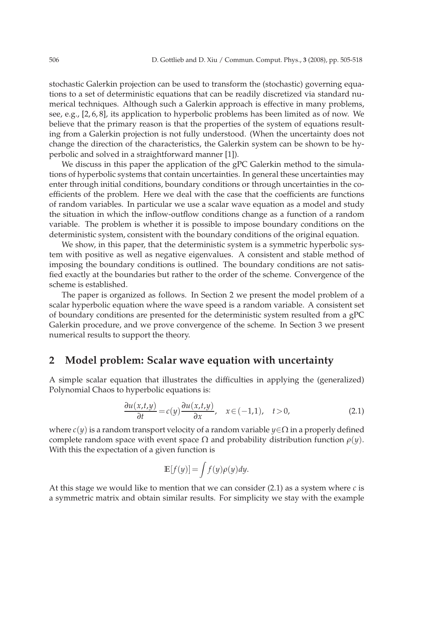stochastic Galerkin projection can be used to transform the (stochastic) governing equations to a set of deterministic equations that can be readily discretized via standard numerical techniques. Although such a Galerkin approach is effective in many problems, see, e.g., [2, 6, 8], its application to hyperbolic problems has been limited as of now. We believe that the primary reason is that the properties of the system of equations resulting from a Galerkin projection is not fully understood. (When the uncertainty does not change the direction of the characteristics, the Galerkin system can be shown to be hyperbolic and solved in a straightforward manner [1]).

We discuss in this paper the application of the gPC Galerkin method to the simulations of hyperbolic systems that contain uncertainties. In general these uncertainties may enter through initial conditions, boundary conditions or through uncertainties in the coefficients of the problem. Here we deal with the case that the coefficients are functions of random variables. In particular we use a scalar wave equation as a model and study the situation in which the inflow-outflow conditions change as a function of a random variable. The problem is whether it is possible to impose boundary conditions on the deterministic system, consistent with the boundary conditions of the original equation.

We show, in this paper, that the deterministic system is a symmetric hyperbolic system with positive as well as negative eigenvalues. A consistent and stable method of imposing the boundary conditions is outlined. The boundary conditions are not satisfied exactly at the boundaries but rather to the order of the scheme. Convergence of the scheme is established.

The paper is organized as follows. In Section 2 we present the model problem of a scalar hyperbolic equation where the wave speed is a random variable. A consistent set of boundary conditions are presented for the deterministic system resulted from a gPC Galerkin procedure, and we prove convergence of the scheme. In Section 3 we present numerical results to support the theory.

### **2 Model problem: Scalar wave equation with uncertainty**

A simple scalar equation that illustrates the difficulties in applying the (generalized) Polynomial Chaos to hyperbolic equations is:

$$
\frac{\partial u(x,t,y)}{\partial t} = c(y) \frac{\partial u(x,t,y)}{\partial x}, \quad x \in (-1,1), \quad t > 0,
$$
\n(2.1)

where *c*(*y*) is a random transport velocity of a random variable *y*∈Ω in a properly defined complete random space with event space  $Ω$  and probability distribution function  $ρ(y)$ . With this the expectation of a given function is

$$
\mathbb{E}[f(y)] = \int f(y)\rho(y)dy.
$$

At this stage we would like to mention that we can consider (2.1) as a system where *c* is a symmetric matrix and obtain similar results. For simplicity we stay with the example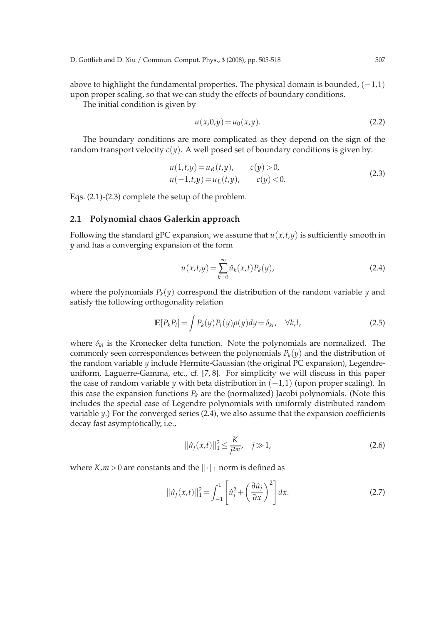above to highlight the fundamental properties. The physical domain is bounded,  $(-1,1)$ upon proper scaling, so that we can study the effects of boundary conditions.

The initial condition is given by

$$
u(x,0,y) = u_0(x,y).
$$
 (2.2)

The boundary conditions are more complicated as they depend on the sign of the random transport velocity  $c(y)$ . A well posed set of boundary conditions is given by:

$$
u(1,t,y) = u_R(t,y), \t c(y) > 0,u(-1,t,y) = u_L(t,y), \t c(y) < 0.
$$
\t(2.3)

Eqs. (2.1)-(2.3) complete the setup of the problem.

#### **2.1 Polynomial chaos Galerkin approach**

Following the standard gPC expansion, we assume that  $u(x,t,y)$  is sufficiently smooth in *y* and has a converging expansion of the form

$$
u(x,t,y) = \sum_{k=0}^{\infty} \hat{u}_k(x,t) P_k(y),
$$
 (2.4)

where the polynomials  $P_k(y)$  correspond the distribution of the random variable *y* and satisfy the following orthogonality relation

$$
\mathbb{E}[P_k P_l] = \int P_k(y) P_l(y) \rho(y) dy = \delta_{kl}, \quad \forall k, l,
$$
\n(2.5)

where  $\delta_{kl}$  is the Kronecker delta function. Note the polynomials are normalized. The commonly seen correspondences between the polynomials  $P_k(y)$  and the distribution of the random variable *y* include Hermite-Gaussian (the original PC expansion), Legendreuniform, Laguerre-Gamma, etc., cf. [7, 8]. For simplicity we will discuss in this paper the case of random variable *y* with beta distribution in (−1,1) (upon proper scaling). In this case the expansion functions  $P_k$  are the (normalized) Jacobi polynomials. (Note this includes the special case of Legendre polynomials with uniformly distributed random variable *y*.) For the converged series (2.4), we also assume that the expansion coefficients decay fast asymptotically, i.e.,

$$
\|\hat{u}_j(x,t)\|_1^2 \le \frac{K}{j^{2m}}, \quad j \gg 1,
$$
\n(2.6)

where  $K,m > 0$  are constants and the  $\|\cdot\|_1$  norm is defined as

$$
\|\hat{u}_j(x,t)\|_1^2 = \int_{-1}^1 \left[\hat{u}_j^2 + \left(\frac{\partial \hat{u}_j}{\partial x}\right)^2\right] dx.
$$
 (2.7)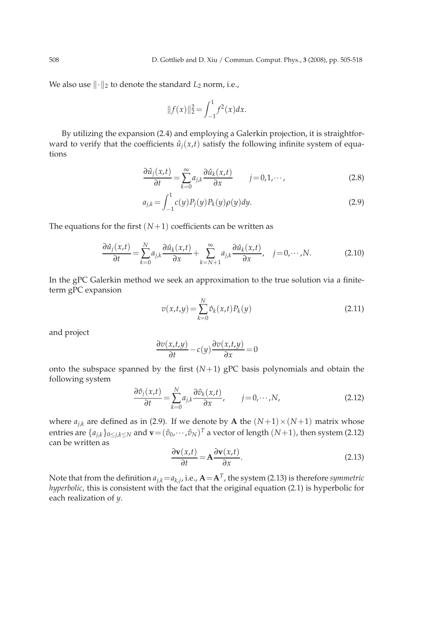We also use  $\lVert \cdot \rVert_2$  to denote the standard  $L_2$  norm, i.e.,

$$
||f(x)||_2^2 = \int_{-1}^1 f^2(x) dx.
$$

By utilizing the expansion (2.4) and employing a Galerkin projection, it is straightforward to verify that the coefficients  $\hat{u}_i(x,t)$  satisfy the following infinite system of equations

$$
\frac{\partial \hat{u}_j(x,t)}{\partial t} = \sum_{k=0}^{\infty} a_{j,k} \frac{\partial \hat{u}_k(x,t)}{\partial x} \qquad j = 0, 1, \cdots,
$$
 (2.8)

$$
a_{j,k} = \int_{-1}^{1} c(y) P_j(y) P_k(y) \rho(y) dy.
$$
 (2.9)

The equations for the first  $(N+1)$  coefficients can be written as

$$
\frac{\partial \hat{u}_j(x,t)}{\partial t} = \sum_{k=0}^N a_{j,k} \frac{\partial \hat{u}_k(x,t)}{\partial x} + \sum_{k=N+1}^\infty a_{j,k} \frac{\partial \hat{u}_k(x,t)}{\partial x}, \quad j = 0, \cdots, N. \tag{2.10}
$$

In the gPC Galerkin method we seek an approximation to the true solution via a finiteterm gPC expansion

$$
v(x,t,y) = \sum_{k=0}^{N} \hat{v}_k(x,t) P_k(y)
$$
 (2.11)

and project

$$
\frac{\partial v(x,t,y)}{\partial t} - c(y) \frac{\partial v(x,t,y)}{\partial x} = 0
$$

onto the subspace spanned by the first  $(N+1)$  gPC basis polynomials and obtain the following system

$$
\frac{\partial \hat{v}_j(x,t)}{\partial t} = \sum_{k=0}^{N} a_{j,k} \frac{\partial \hat{v}_k(x,t)}{\partial x}, \qquad j = 0, \cdots, N,
$$
\n(2.12)

where  $a_{j,k}$  are defined as in (2.9). If we denote by **A** the  $(N+1) \times (N+1)$  matrix whose entries are  $\{a_{j,k}\}_{0\leq j,k\leq N}$  and  $\mathbf{v}=(\hat{v}_0,\cdots,\hat{v}_N)^T$  a vector of length  $(N+1)$ , then system (2.12) can be written as

$$
\frac{\partial \mathbf{v}(x,t)}{\partial t} = \mathbf{A} \frac{\partial \mathbf{v}(x,t)}{\partial x}.
$$
 (2.13)

Note that from the definition  $a_{j,k} = a_{k,j}$ , i.e.,  $\mathbf{A} = \mathbf{A}^T$ , the system (2.13) is therefore symmetric *hyperbolic*, this is consistent with the fact that the original equation (2.1) is hyperbolic for each realization of *y*.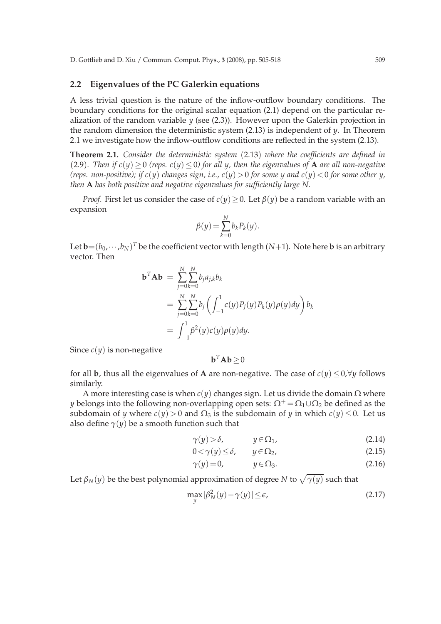### **2.2 Eigenvalues of the PC Galerkin equations**

A less trivial question is the nature of the inflow-outflow boundary conditions. The boundary conditions for the original scalar equation (2.1) depend on the particular realization of the random variable *y* (see (2.3)). However upon the Galerkin projection in the random dimension the deterministic system  $(2.13)$  is independent of  $\gamma$ . In Theorem 2.1 we investigate how the inflow-outflow conditions are reflected in the system (2.13).

**Theorem 2.1.** *Consider the deterministic system* (2.13) *where the coefficients are defined in* (2.9). Then if  $c(y) \ge 0$  (reps.  $c(y) \le 0$ ) for all y, then the eigenvalues of **A** are all non-negative *(reps. non-positive); if*  $c(y)$  *changes sign, i.e.,*  $c(y) > 0$  *for some y and*  $c(y) < 0$  *for some other y, then* **A** *has both positive and negative eigenvalues for sufficiently large N.*

*Proof.* First let us consider the case of  $c(y) \ge 0$ . Let  $\beta(y)$  be a random variable with an expansion

$$
\beta(y) = \sum_{k=0}^{N} b_k P_k(y).
$$

Let  $\mathbf{b} \!=\! (b_0,\cdots,b_N)^T$  be the coefficient vector with length (N+1). Note here  $\mathbf{b}$  is an arbitrary vector. Then

$$
\mathbf{b}^T \mathbf{A} \mathbf{b} = \sum_{j=0}^N \sum_{k=0}^N b_j a_{j,k} b_k
$$
  
= 
$$
\sum_{j=0}^N \sum_{k=0}^N b_j \left( \int_{-1}^1 c(y) P_j(y) P_k(y) \rho(y) dy \right) b_k
$$
  
= 
$$
\int_{-1}^1 \beta^2(y) c(y) \rho(y) dy.
$$

Since  $c(y)$  is non-negative

$$
\mathbf{b}^T \mathbf{A} \mathbf{b} \geq 0
$$

for all **b**, thus all the eigenvalues of **A** are non-negative. The case of  $c(y) \le 0$ ,  $\forall y$  follows similarly.

A more interesting case is when  $c(y)$  changes sign. Let us divide the domain  $\Omega$  where *y* belongs into the following non-overlapping open sets:  $\Omega^+ = \Omega_1 \cup \Omega_2$  be defined as the subdomain of *y* where  $c(y) > 0$  and  $\Omega_3$  is the subdomain of *y* in which  $c(y) \le 0$ . Let us also define  $\gamma(y)$  be a smooth function such that

$$
\gamma(y) > \delta, \qquad y \in \Omega_1,\tag{2.14}
$$

$$
0 < \gamma(y) \le \delta, \qquad y \in \Omega_2,\tag{2.15}
$$

$$
\gamma(y)=0, \qquad y \in \Omega_3. \tag{2.16}
$$

Let  $\beta_N(y)$  be the best polynomial approximation of degree  $N$  to  $\sqrt{\gamma(y)}$  such that

$$
\max_{y} |\beta_N^2(y) - \gamma(y)| \le \epsilon,\tag{2.17}
$$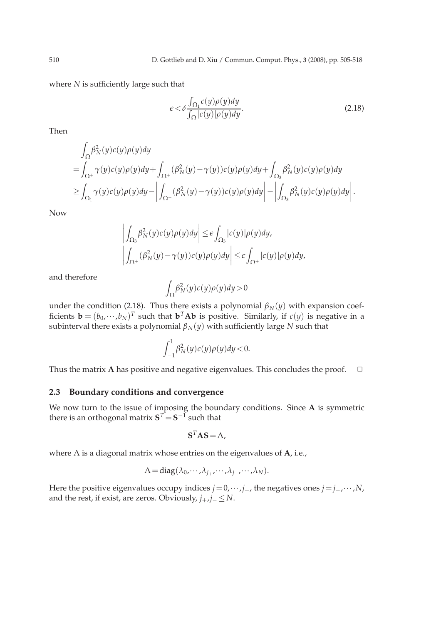where *N* is sufficiently large such that

$$
\epsilon < \delta \frac{\int_{\Omega_1} c(y) \rho(y) dy}{\int_{\Omega} |c(y)| \rho(y) dy}.\tag{2.18}
$$

Then

$$
\int_{\Omega} \beta_N^2(y)c(y)\rho(y)dy
$$
\n
$$
= \int_{\Omega^+} \gamma(y)c(y)\rho(y)dy + \int_{\Omega^+} (\beta_N^2(y) - \gamma(y))c(y)\rho(y)dy + \int_{\Omega_3} \beta_N^2(y)c(y)\rho(y)dy
$$
\n
$$
\geq \int_{\Omega_1} \gamma(y)c(y)\rho(y)dy - \left| \int_{\Omega^+} (\beta_N^2(y) - \gamma(y))c(y)\rho(y)dy \right| - \left| \int_{\Omega_3} \beta_N^2(y)c(y)\rho(y)dy \right|.
$$

Now

$$
\left| \int_{\Omega_3} \beta_N^2(y) c(y) \rho(y) dy \right| \le \epsilon \int_{\Omega_3} |c(y)| \rho(y) dy,
$$
  

$$
\left| \int_{\Omega^+} (\beta_N^2(y) - \gamma(y)) c(y) \rho(y) dy \right| \le \epsilon \int_{\Omega^+} |c(y)| \rho(y) dy,
$$

and therefore

$$
\int_{\Omega} \beta_N^2(y) c(y) \rho(y) dy > 0
$$

under the condition (2.18). Thus there exists a polynomial  $\beta_N(y)$  with expansion coefficients  $\mathbf{b} = (b_0, \dots, b_N)^T$  such that  $\mathbf{b}^T \mathbf{A} \mathbf{b}$  is positive. Similarly, if  $c(y)$  is negative in a  $s$ ubinterval there exists a polynomial  $\beta_N(y)$  with sufficiently large  $N$  such that

$$
\int_{-1}^1 \beta_N^2(y)c(y)\rho(y)dy < 0.
$$

Thus the matrix **A** has positive and negative eigenvalues. This concludes the proof.  $\Box$ 

### **2.3 Boundary conditions and convergence**

We now turn to the issue of imposing the boundary conditions. Since **A** is symmetric there is an orthogonal matrix  $\mathbf{S}^T\!=\!\mathbf{S}^{-1}$  such that

$$
\mathbf{S}^T \mathbf{A} \mathbf{S} = \Lambda,
$$

where Λ is a diagonal matrix whose entries on the eigenvalues of **A**, i.e.,

$$
\Lambda = \mathrm{diag}(\lambda_0, \cdots, \lambda_{j_+}, \cdots, \lambda_{j_-}, \cdots, \lambda_N).
$$

Here the positive eigenvalues occupy indices  $j = 0, \dots, j_+$ , the negatives ones  $j = j_-, \dots, N$ , and the rest, if exist, are zeros. Obviously,  $j_+, j_- \leq N$ .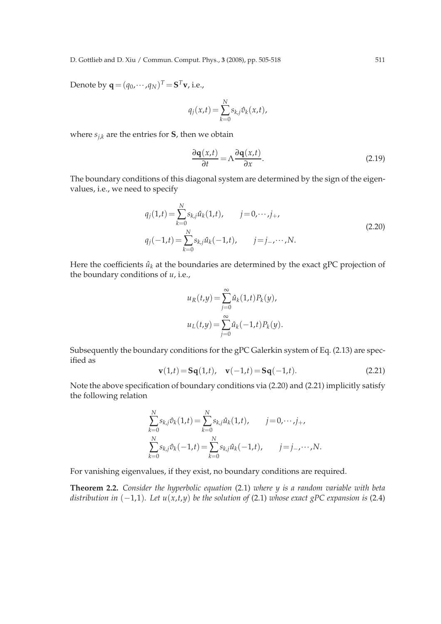D. Gottlieb and D. Xiu / Commun. Comput. Phys., **3** (2008), pp. 505-518 511

Denote by  $\mathbf{q} = (q_0, \cdots, q_N)^T = \mathbf{S}^T \mathbf{v}$ , i.e.,

$$
q_j(x,t) = \sum_{k=0}^{N} s_{k,j} \hat{v}_k(x,t),
$$

where  $s_{i,k}$  are the entries for **S**, then we obtain

$$
\frac{\partial \mathbf{q}(x,t)}{\partial t} = \Lambda \frac{\partial \mathbf{q}(x,t)}{\partial x}.
$$
 (2.19)

The boundary conditions of this diagonal system are determined by the sign of the eigenvalues, i.e., we need to specify

$$
q_j(1,t) = \sum_{k=0}^{N} s_{k,j} \hat{u}_k(1,t), \qquad j = 0, \dots, j_+,
$$
  
\n
$$
q_j(-1,t) = \sum_{k=0}^{N} s_{k,j} \hat{u}_k(-1,t), \qquad j = j_-, \dots, N.
$$
\n(2.20)

Here the coefficients  $\hat{u}_k$  at the boundaries are determined by the exact gPC projection of the boundary conditions of *u*, i.e.,

$$
u_R(t,y) = \sum_{j=0}^{\infty} \hat{u}_k(1,t) P_k(y),
$$
  

$$
u_L(t,y) = \sum_{j=0}^{\infty} \hat{u}_k(-1,t) P_k(y).
$$

Subsequently the boundary conditions for the gPC Galerkin system of Eq. (2.13) are specified as

$$
\mathbf{v}(1,t) = \mathbf{Sq}(1,t), \quad \mathbf{v}(-1,t) = \mathbf{Sq}(-1,t). \tag{2.21}
$$

Note the above specification of boundary conditions via (2.20) and (2.21) implicitly satisfy the following relation

$$
\sum_{k=0}^{N} s_{k,j} \hat{v}_k(1,t) = \sum_{k=0}^{N} s_{k,j} \hat{u}_k(1,t), \qquad j = 0, \cdots, j_+,
$$
  

$$
\sum_{k=0}^{N} s_{k,j} \hat{v}_k(-1,t) = \sum_{k=0}^{N} s_{k,j} \hat{u}_k(-1,t), \qquad j = j_-, \cdots, N.
$$

For vanishing eigenvalues, if they exist, no boundary conditions are required.

**Theorem 2.2.** *Consider the hyperbolic equation* (2.1) *where y is a random variable with beta distribution in*  $(-1,1)$ *. Let*  $u(x,t,y)$  *be the solution of* (2.1) *whose exact gPC expansion is* (2.4)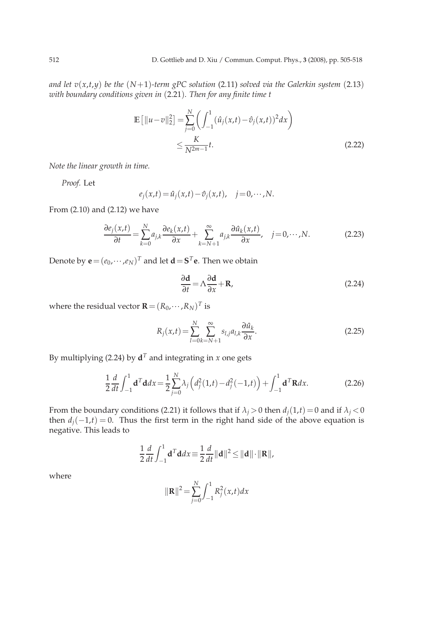*and let*  $v(x,t,y)$  *be the*  $(N+1)$ *-term gPC solution* (2.11) *solved via the Galerkin system* (2.13) *with boundary conditions given in* (2.21)*. Then for any finite time t*

$$
\mathbb{E}\left[\|u-v\|_2^2\right] = \sum_{j=0}^{N} \left(\int_{-1}^1 (\hat{u}_j(x,t) - \hat{v}_j(x,t))^2 dx\right)
$$
  
 
$$
\leq \frac{K}{N^{2m-1}}t.
$$
 (2.22)

*Note the linear growth in time.*

*Proof.* Let

$$
e_j(x,t) = \hat{u}_j(x,t) - \hat{v}_j(x,t), \quad j = 0, \cdots, N.
$$

From (2.10) and (2.12) we have

$$
\frac{\partial e_j(x,t)}{\partial t} = \sum_{k=0}^{N} a_{j,k} \frac{\partial e_k(x,t)}{\partial x} + \sum_{k=N+1}^{\infty} a_{j,k} \frac{\partial \hat{u}_k(x,t)}{\partial x}, \quad j = 0, \cdots, N. \tag{2.23}
$$

Denote by  $\mathbf{e} = (e_0, \dots, e_N)^T$  and let  $\mathbf{d} = \mathbf{S}^T \mathbf{e}$ . Then we obtain

$$
\frac{\partial \mathbf{d}}{\partial t} = \Lambda \frac{\partial \mathbf{d}}{\partial x} + \mathbf{R},\tag{2.24}
$$

where the residual vector  $\mathbf{R}=(R_0,\cdots,R_N)^T$  is

$$
R_j(x,t) = \sum_{l=0}^{N} \sum_{k=N+1}^{\infty} s_{l,j} a_{l,k} \frac{\partial \hat{u}_k}{\partial x}.
$$
 (2.25)

By multiplying (2.24) by  $\mathbf{d}^T$  and integrating in *x* one gets

$$
\frac{1}{2}\frac{d}{dt}\int_{-1}^{1} \mathbf{d}^{T} \mathbf{d}dx = \frac{1}{2}\sum_{j=0}^{N} \lambda_{j} \left(d_{j}^{2}(1,t) - d_{j}^{2}(-1,t)\right) + \int_{-1}^{1} \mathbf{d}^{T} \mathbf{R}dx.
$$
 (2.26)

From the boundary conditions (2.21) it follows that if  $\lambda_j > 0$  then  $d_j(1,t) = 0$  and if  $\lambda_j < 0$ then  $d_j(-1,t) = 0$ . Thus the first term in the right hand side of the above equation is negative. This leads to

$$
\frac{1}{2}\frac{d}{dt}\int_{-1}^1 \mathbf{d}^T \mathbf{d} dx \equiv \frac{1}{2}\frac{d}{dt}\|\mathbf{d}\|^2 \le \|\mathbf{d}\| \cdot \|\mathbf{R}\|,
$$

where

$$
\|\mathbf{R}\|^2 = \sum_{j=0}^{N} \int_{-1}^{1} R_j^2(x, t) dx
$$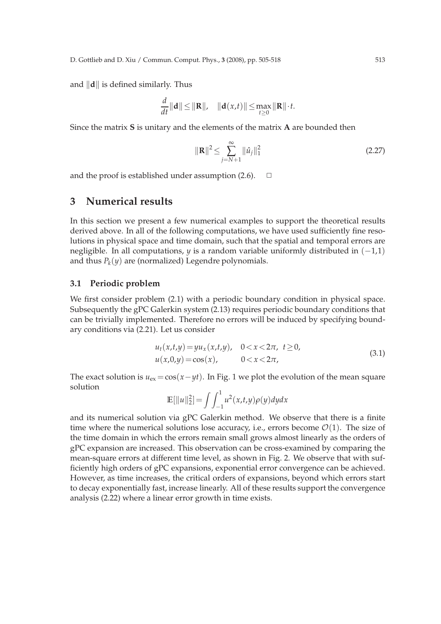and  $\|\mathbf{d}\|$  is defined similarly. Thus

$$
\frac{d}{dt} ||\mathbf{d}|| \le ||\mathbf{R}||, \quad ||\mathbf{d}(x,t)|| \le \max_{t \ge 0} ||\mathbf{R}|| \cdot t.
$$

Since the matrix **S** is unitary and the elements of the matrix **A** are bounded then

$$
\|\mathbf{R}\|^2 \le \sum_{j=N+1}^{\infty} \|\hat{u}_j\|_1^2 \tag{2.27}
$$

and the proof is established under assumption  $(2.6)$ .  $\Box$ 

### **3 Numerical results**

In this section we present a few numerical examples to support the theoretical results derived above. In all of the following computations, we have used sufficiently fine resolutions in physical space and time domain, such that the spatial and temporal errors are negligible. In all computations, *y* is a random variable uniformly distributed in  $(-1,1)$ and thus  $P_k(y)$  are (normalized) Legendre polynomials.

### **3.1 Periodic problem**

We first consider problem (2.1) with a periodic boundary condition in physical space. Subsequently the gPC Galerkin system (2.13) requires periodic boundary conditions that can be trivially implemented. Therefore no errors will be induced by specifying boundary conditions via (2.21). Let us consider

$$
u_t(x,t,y) = yu_x(x,t,y), \quad 0 < x < 2\pi, \ t \ge 0,u(x,0,y) = \cos(x), \qquad 0 < x < 2\pi,
$$
 (3.1)

The exact solution is  $u_{ex} = cos(x - yt)$ . In Fig. 1 we plot the evolution of the mean square solution

$$
\mathbb{E}[\|u\|_2^2] = \int \int_{-1}^1 u^2(x, t, y) \rho(y) dy dx
$$

and its numerical solution via gPC Galerkin method. We observe that there is a finite time where the numerical solutions lose accuracy, i.e., errors become  $\mathcal{O}(1)$ . The size of the time domain in which the errors remain small grows almost linearly as the orders of gPC expansion are increased. This observation can be cross-examined by comparing the mean-square errors at different time level, as shown in Fig. 2. We observe that with sufficiently high orders of gPC expansions, exponential error convergence can be achieved. However, as time increases, the critical orders of expansions, beyond which errors start to decay exponentially fast, increase linearly. All of these results support the convergence analysis (2.22) where a linear error growth in time exists.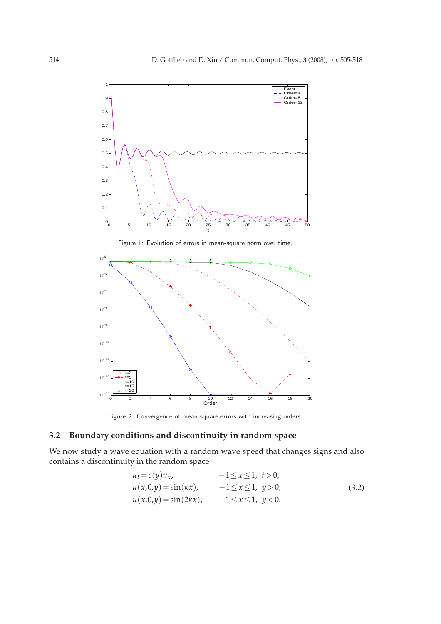

Figure 1: Evolution of errors in mean-square norm over time.



Figure 2: Convergence of mean-square errors with increasing orders.

## **3.2 Boundary conditions and discontinuity in random space**

We now study a wave equation with a random wave speed that changes signs and also contains a discontinuity in the random space

$$
u_t = c(y)u_x, \t -1 \le x \le 1, \t t > 0,u(x,0,y) = sin(\kappa x), \t -1 \le x \le 1, \t y > 0,u(x,0,y) = sin(2\kappa x), \t -1 \le x \le 1, \t y < 0.
$$
\t(3.2)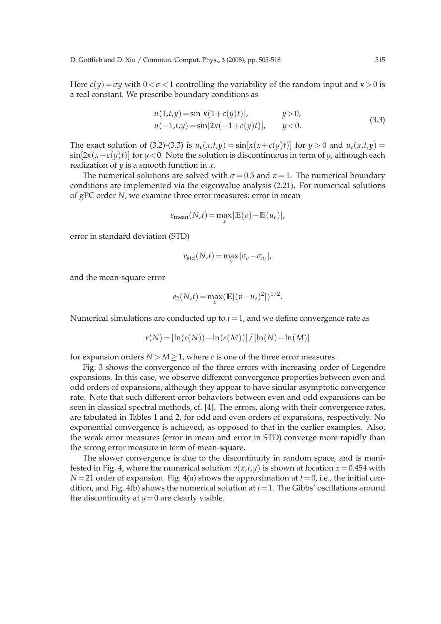Here  $c(y) = \sigma y$  with  $0 < \sigma < 1$  controlling the variability of the random input and  $\kappa > 0$  is a real constant. We prescribe boundary conditions as

$$
u(1,t,y) = \sin[x(1+c(y)t)], \t y > 0,u(-1,t,y) = \sin[2x(-1+c(y)t)], \t y < 0.
$$
\t(3.3)

The exact solution of (3.2)-(3.3) is  $u_e(x,t,y) = \sin[x(x+c(y)t)]$  for  $y > 0$  and  $u_e(x,t,y) =$ sin[2*κ*(*x*+*c*(*y*)*t*)] for *y*<0. Note the solution is discontinuous in term of *y*, although each realization of *y* is a smooth function in *x*.

The numerical solutions are solved with  $\sigma$  = 0.5 and  $\kappa$  = 1. The numerical boundary conditions are implemented via the eigenvalue analysis (2.21). For numerical solutions of gPC order *N*, we examine three error measures: error in mean

$$
e_{\text{mean}}(N,t) = \max_{x} |\mathbb{E}(v) - \mathbb{E}(u_e)|,
$$

error in standard deviation (STD)

$$
e_{\rm std}(N,t) = \max_{x} |\sigma_v - \sigma_{u_e}|,
$$

and the mean-square error

$$
e_2(N,t) = \max_x ( \mathbb{E}[(v - u_e)^2])^{1/2}.
$$

Numerical simulations are conducted up to  $t = 1$ , and we define convergence rate as

$$
r(N) = [\ln(e(N)) - \ln(e(M))] / [\ln(N) - \ln(M)]
$$

for expansion orders  $N > M \geq 1$ , where *e* is one of the three error measures.

Fig. 3 shows the convergence of the three errors with increasing order of Legendre expansions. In this case, we observe different convergence properties between even and odd orders of expansions, although they appear to have similar asymptotic convergence rate. Note that such different error behaviors between even and odd expansions can be seen in classical spectral methods, cf. [4]. The errors, along with their convergence rates, are tabulated in Tables 1 and 2, for odd and even orders of expansions, respectively. No exponential convergence is achieved, as opposed to that in the earlier examples. Also, the weak error measures (error in mean and error in STD) converge more rapidly than the strong error measure in term of mean-square.

The slower convergence is due to the discontinuity in random space, and is manifested in Fig. 4, where the numerical solution  $v(x,t,y)$  is shown at location  $x=0.454$  with  $N=21$  order of expansion. Fig. 4(a) shows the approximation at  $t=0$ , i.e., the initial condition, and Fig.  $4(b)$  shows the numerical solution at  $t=1$ . The Gibbs' oscillations around the discontinuity at  $y=0$  are clearly visible.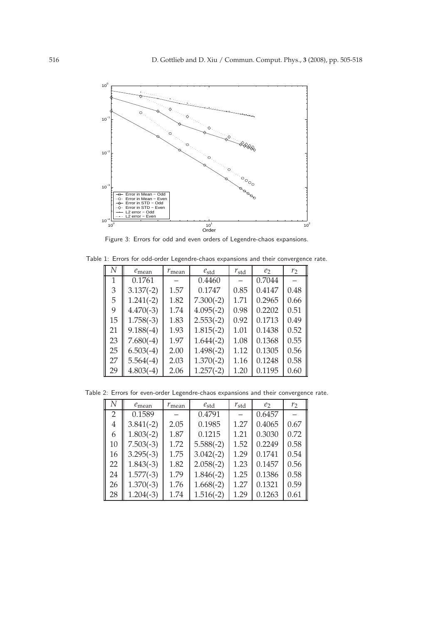

Figure 3: Errors for odd and even orders of Legendre-chaos expansions.

| Table 1: Errors for odd-order Legendre-chaos expansions and their convergence rate. |  |                                             |                   |               |                  |        |  |  |
|-------------------------------------------------------------------------------------|--|---------------------------------------------|-------------------|---------------|------------------|--------|--|--|
|                                                                                     |  | $\parallel N \parallel e_{\text{mean}} + r$ | $r_{\text{mean}}$ | $e_{\rm std}$ | $r_{\text{std}}$ | $\ell$ |  |  |

| IV | $e_{\text{mean}}$ | $r_{\text{mean}}$ | $e_{\rm std}$ | $r_{\rm std}$ | ez     | r <sub>2</sub> |
|----|-------------------|-------------------|---------------|---------------|--------|----------------|
| 1  | 0.1761            |                   | 0.4460        |               | 0.7044 |                |
| 3  | $3.137(-2)$       | 1.57              | 0.1747        | 0.85          | 0.4147 | 0.48           |
| 5  | $1.241(-2)$       | 1.82              | $7.300(-2)$   | 1.71          | 0.2965 | 0.66           |
| 9  | $4.470(-3)$       | 1.74              | $4.095(-2)$   | 0.98          | 0.2202 | 0.51           |
| 15 | $1.758(-3)$       | 1.83              | $2.553(-2)$   | 0.92          | 0.1713 | 0.49           |
| 21 | $9.188(-4)$       | 1.93              | $1.815(-2)$   | 1.01          | 0.1438 | 0.52           |
| 23 | $7.680(-4)$       | 1.97              | $1.644(-2)$   | 1.08          | 0.1368 | 0.55           |
| 25 | $6.503(-4)$       | 2.00              | $1.498(-2)$   | 1.12          | 0.1305 | 0.56           |
| 27 | $5.564(-4)$       | 2.03              | $1.370(-2)$   | 1.16          | 0.1248 | 0.58           |
| 29 | $4.803(-4)$       | 2.06              | $1.257(-2)$   | 1.20          | 0.1195 | 0.60           |

Table 2: Errors for even-order Legendre-chaos expansions and their convergence rate.

| N  | $e_{\text{mean}}$ | $r_{\text{mean}}$ | $e_{std}$   | $r_{\rm std}$ | e <sub>2</sub> | r <sub>2</sub> |
|----|-------------------|-------------------|-------------|---------------|----------------|----------------|
| 2  | 0.1589            |                   | 0.4791      |               | 0.6457         |                |
| 4  | $3.841(-2)$       | 2.05              | 0.1985      | 1.27          | 0.4065         | 0.67           |
| 6  | $1.803(-2)$       | 1.87              | 0.1215      | 1.21          | 0.3030         | 0.72           |
| 10 | $7.503(-3)$       | 1.72              | $5.588(-2)$ | 1.52          | 0.2249         | 0.58           |
| 16 | $3.295(-3)$       | 1.75              | $3.042(-2)$ | 1.29          | 0.1741         | 0.54           |
| 22 | $1.843(-3)$       | 1.82              | $2.058(-2)$ | 1.23          | 0.1457         | 0.56           |
| 24 | $1.577(-3)$       | 1.79              | $1.846(-2)$ | 1.25          | 0.1386         | 0.58           |
| 26 | $1.370(-3)$       | 1.76              | $1.668(-2)$ | 1.27          | 0.1321         | 0.59           |
| 28 | $1.204(-3)$       | 1.74              | $1.516(-2)$ | 1.29          | 0.1263         | 0.61           |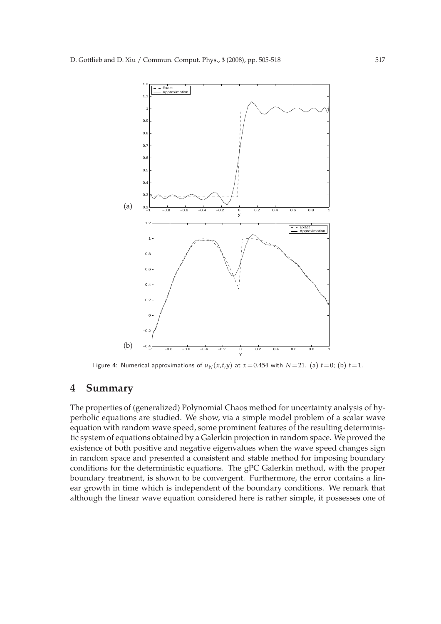

Figure 4: Numerical approximations of  $u_N(x,t,y)$  at  $x=0.454$  with  $N=21$ . (a)  $t=0$ ; (b)  $t=1$ .

### **4 Summary**

The properties of (generalized) Polynomial Chaos method for uncertainty analysis of hyperbolic equations are studied. We show, via a simple model problem of a scalar wave equation with random wave speed, some prominent features of the resulting deterministic system of equations obtained by a Galerkin projection in random space. We proved the existence of both positive and negative eigenvalues when the wave speed changes sign in random space and presented a consistent and stable method for imposing boundary conditions for the deterministic equations. The gPC Galerkin method, with the proper boundary treatment, is shown to be convergent. Furthermore, the error contains a linear growth in time which is independent of the boundary conditions. We remark that although the linear wave equation considered here is rather simple, it possesses one of